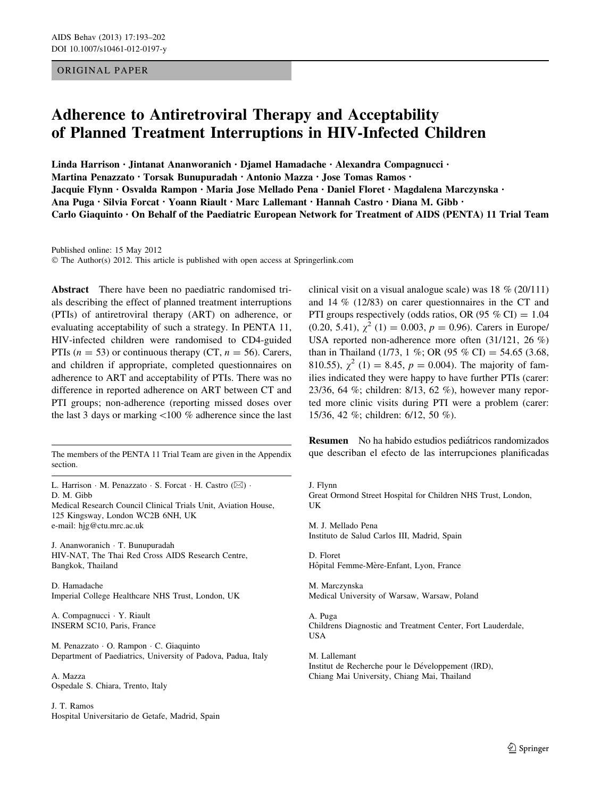## ORIGINAL PAPER

# Adherence to Antiretroviral Therapy and Acceptability of Planned Treatment Interruptions in HIV-Infected Children

Linda Harrison • Jintanat Ananworanich • Djamel Hamadache • Alexandra Compagnucci • Martina Penazzato • Torsak Bunupuradah • Antonio Mazza • Jose Tomas Ramos • Jacquie Flynn • Osvalda Rampon • Maria Jose Mellado Pena • Daniel Floret • Magdalena Marczynska • Ana Puga • Silvia Forcat • Yoann Riault • Marc Lallemant • Hannah Castro • Diana M. Gibb • Carlo Giaquinto • On Behalf of the Paediatric European Network for Treatment of AIDS (PENTA) 11 Trial Team

Published online: 15 May 2012 © The Author(s) 2012. This article is published with open access at Springerlink.com

Abstract There have been no paediatric randomised trials describing the effect of planned treatment interruptions (PTIs) of antiretroviral therapy (ART) on adherence, or evaluating acceptability of such a strategy. In PENTA 11, HIV-infected children were randomised to CD4-guided PTIs ( $n = 53$ ) or continuous therapy (CT,  $n = 56$ ). Carers, and children if appropriate, completed questionnaires on adherence to ART and acceptability of PTIs. There was no difference in reported adherence on ART between CT and PTI groups; non-adherence (reporting missed doses over the last 3 days or marking  $<100$  % adherence since the last

section.

L. Harrison  $\cdot$  M. Penazzato  $\cdot$  S. Forcat  $\cdot$  H. Castro ( $\boxtimes$ )  $\cdot$ D. M. Gibb Medical Research Council Clinical Trials Unit, Aviation House, 125 Kingsway, London WC2B 6NH, UK e-mail: hjg@ctu.mrc.ac.uk

J. Ananworanich - T. Bunupuradah HIV-NAT, The Thai Red Cross AIDS Research Centre, Bangkok, Thailand

D. Hamadache Imperial College Healthcare NHS Trust, London, UK

A. Compagnucci - Y. Riault INSERM SC10, Paris, France

M. Penazzato - O. Rampon - C. Giaquinto Department of Paediatrics, University of Padova, Padua, Italy

A. Mazza Ospedale S. Chiara, Trento, Italy

J. T. Ramos Hospital Universitario de Getafe, Madrid, Spain clinical visit on a visual analogue scale) was 18 % (20/111) and 14 % (12/83) on carer questionnaires in the CT and PTI groups respectively (odds ratios, OR  $(95\% \text{ CI}) = 1.04$ ) (0.20, 5.41),  $\chi^2$  (1) = 0.003, p = 0.96). Carers in Europe/ USA reported non-adherence more often (31/121, 26 %) than in Thailand (1/73, 1 %; OR (95 % CI) = 54.65 (3.68, 810.55),  $\chi^2$  (1) = 8.45, p = 0.004). The majority of families indicated they were happy to have further PTIs (carer: 23/36, 64 %; children: 8/13, 62 %), however many reported more clinic visits during PTI were a problem (carer: 15/36, 42 %; children: 6/12, 50 %).

Resumen No ha habido estudios pediátricos randomizados The members of the PENTA 11 Trial Team are given in the Appendix que describan el efecto de las interrupciones planificadas

#### J. Flynn

Great Ormond Street Hospital for Children NHS Trust, London, UK

M. J. Mellado Pena Instituto de Salud Carlos III, Madrid, Spain

D. Floret Hôpital Femme-Mère-Enfant, Lyon, France

M. Marczynska Medical University of Warsaw, Warsaw, Poland

A. Puga Childrens Diagnostic and Treatment Center, Fort Lauderdale, USA

M. Lallemant Institut de Recherche pour le Développement (IRD), Chiang Mai University, Chiang Mai, Thailand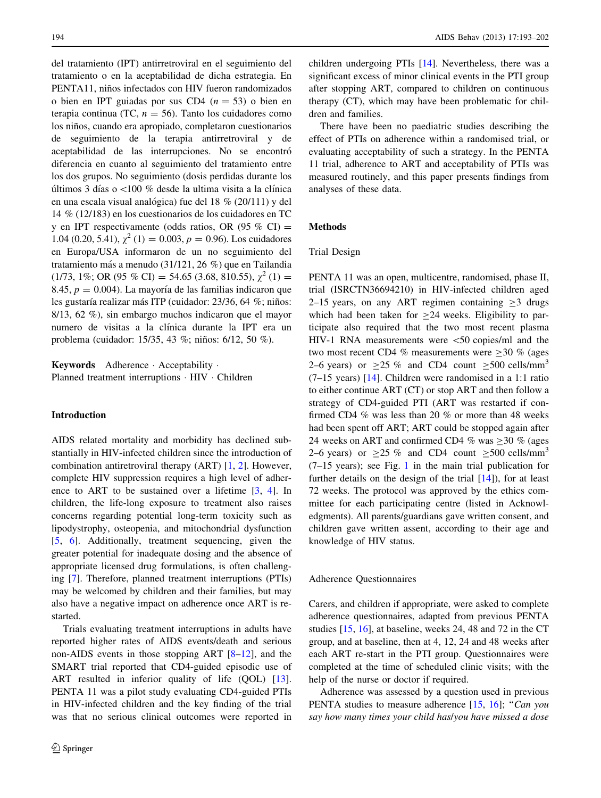del tratamiento (IPT) antirretroviral en el seguimiento del tratamiento o en la aceptabilidad de dicha estrategia. En PENTA11, niños infectados con HIV fueron randomizados o bien en IPT guiadas por sus CD4 ( $n = 53$ ) o bien en terapia continua (TC,  $n = 56$ ). Tanto los cuidadores como los niños, cuando era apropiado, completaron cuestionarios de seguimiento de la terapia antirretroviral y de aceptabilidad de las interrupciones. No se encontró diferencia en cuanto al seguimiento del tratamiento entre los dos grupos. No seguimiento (dosis perdidas durante los últimos 3 días o $100 \%$  desde la ultima visita a la clínica en una escala visual analógica) fue del 18 % (20/111) y del 14 % (12/183) en los cuestionarios de los cuidadores en TC y en IPT respectivamente (odds ratios, OR  $(95\%$  CI) = 1.04 (0.20, 5.41),  $\chi^2$  (1) = 0.003,  $p = 0.96$ ). Los cuidadores en Europa/USA informaron de un no seguimiento del tratamiento más a menudo (31/121, 26 %) que en Tailandia  $(1/73, 1\%; \text{OR } (95 \% \text{ CI}) = 54.65 \ (3.68, 810.55), \chi^2(1) =$ 8.45,  $p = 0.004$ ). La mayoría de las familias indicaron que les gustaría realizar más ITP (cuidador: 23/36, 64 %; niños: 8/13, 62 %), sin embargo muchos indicaron que el mayor numero de visitas a la clínica durante la IPT era un problema (cuidador: 15/35, 43 %; niños: 6/12, 50 %).

Keywords Adherence - Acceptability - Planned treatment interruptions · HIV · Children

#### Introduction

AIDS related mortality and morbidity has declined substantially in HIV-infected children since the introduction of combination antiretroviral therapy (ART) [[1,](#page-8-0) [2](#page-8-0)]. However, complete HIV suppression requires a high level of adherence to ART to be sustained over a lifetime [[3,](#page-8-0) [4](#page-8-0)]. In children, the life-long exposure to treatment also raises concerns regarding potential long-term toxicity such as lipodystrophy, osteopenia, and mitochondrial dysfunction [\[5](#page-8-0), [6](#page-8-0)]. Additionally, treatment sequencing, given the greater potential for inadequate dosing and the absence of appropriate licensed drug formulations, is often challenging [[7\]](#page-8-0). Therefore, planned treatment interruptions (PTIs) may be welcomed by children and their families, but may also have a negative impact on adherence once ART is restarted.

Trials evaluating treatment interruptions in adults have reported higher rates of AIDS events/death and serious non-AIDS events in those stopping ART [[8–12\]](#page-8-0), and the SMART trial reported that CD4-guided episodic use of ART resulted in inferior quality of life (QOL) [\[13](#page-8-0)]. PENTA 11 was a pilot study evaluating CD4-guided PTIs in HIV-infected children and the key finding of the trial was that no serious clinical outcomes were reported in children undergoing PTIs [[14](#page-8-0)]. Nevertheless, there was a significant excess of minor clinical events in the PTI group after stopping ART, compared to children on continuous therapy (CT), which may have been problematic for children and families.

There have been no paediatric studies describing the effect of PTIs on adherence within a randomised trial, or evaluating acceptability of such a strategy. In the PENTA 11 trial, adherence to ART and acceptability of PTIs was measured routinely, and this paper presents findings from analyses of these data.

## Methods

## Trial Design

PENTA 11 was an open, multicentre, randomised, phase II, trial (ISRCTN36694210) in HIV-infected children aged 2–15 years, on any ART regimen containing  $\geq$ 3 drugs which had been taken for  $>24$  weeks. Eligibility to participate also required that the two most recent plasma HIV-1 RNA measurements were  $\leq 50$  copies/ml and the two most recent CD4 % measurements were  $\geq$ 30 % (ages 2–6 years) or  $\geq$ 25 % and CD4 count  $\geq$ 500 cells/mm<sup>3</sup> (7–15 years) [\[14](#page-8-0)]. Children were randomised in a 1:1 ratio to either continue ART (CT) or stop ART and then follow a strategy of CD4-guided PTI (ART was restarted if confirmed CD4 % was less than 20 % or more than 48 weeks had been spent off ART; ART could be stopped again after 24 weeks on ART and confirmed CD4  $\%$  was  $\geq$  30  $\%$  (ages 2–6 years) or  $\geq$ 25 % and CD4 count  $\geq$ 500 cells/mm<sup>3</sup>  $(7-15 \text{ years})$  $(7-15 \text{ years})$  $(7-15 \text{ years})$ ; see Fig. 1 in the main trial publication for further details on the design of the trial [[14\]](#page-8-0)), for at least 72 weeks. The protocol was approved by the ethics committee for each participating centre (listed in Acknowledgments). All parents/guardians gave written consent, and children gave written assent, according to their age and knowledge of HIV status.

#### Adherence Questionnaires

Carers, and children if appropriate, were asked to complete adherence questionnaires, adapted from previous PENTA studies [[15,](#page-8-0) [16\]](#page-8-0), at baseline, weeks 24, 48 and 72 in the CT group, and at baseline, then at 4, 12, 24 and 48 weeks after each ART re-start in the PTI group. Questionnaires were completed at the time of scheduled clinic visits; with the help of the nurse or doctor if required.

Adherence was assessed by a question used in previous PENTA studies to measure adherence [[15,](#page-8-0) [16\]](#page-8-0); "Can you say how many times your child has/you have missed a dose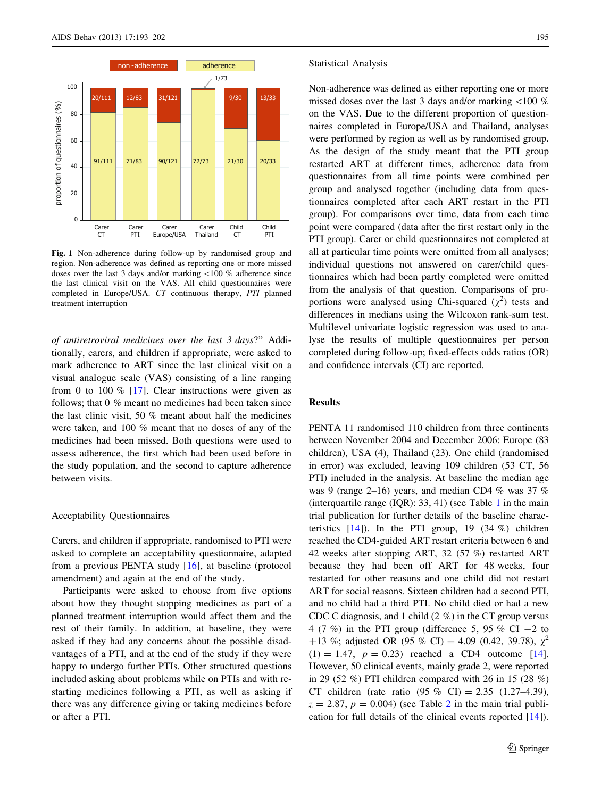<span id="page-2-0"></span>

Fig. 1 Non-adherence during follow-up by randomised group and region. Non-adherence was defined as reporting one or more missed doses over the last 3 days and/or marking  $\lt 100 \%$  adherence since the last clinical visit on the VAS. All child questionnaires were completed in Europe/USA. CT continuous therapy, PTI planned treatment interruption

of antiretroviral medicines over the last 3 days?'' Additionally, carers, and children if appropriate, were asked to mark adherence to ART since the last clinical visit on a visual analogue scale (VAS) consisting of a line ranging from 0 to 100  $\%$  [[17\]](#page-8-0). Clear instructions were given as follows; that 0 % meant no medicines had been taken since the last clinic visit, 50 % meant about half the medicines were taken, and 100 % meant that no doses of any of the medicines had been missed. Both questions were used to assess adherence, the first which had been used before in the study population, and the second to capture adherence between visits.

## Acceptability Questionnaires

Carers, and children if appropriate, randomised to PTI were asked to complete an acceptability questionnaire, adapted from a previous PENTA study [\[16](#page-8-0)], at baseline (protocol amendment) and again at the end of the study.

Participants were asked to choose from five options about how they thought stopping medicines as part of a planned treatment interruption would affect them and the rest of their family. In addition, at baseline, they were asked if they had any concerns about the possible disadvantages of a PTI, and at the end of the study if they were happy to undergo further PTIs. Other structured questions included asking about problems while on PTIs and with restarting medicines following a PTI, as well as asking if there was any difference giving or taking medicines before or after a PTI.

#### Statistical Analysis

Non-adherence was defined as either reporting one or more missed doses over the last 3 days and/or marking  $\lt 100 \%$ on the VAS. Due to the different proportion of questionnaires completed in Europe/USA and Thailand, analyses were performed by region as well as by randomised group. As the design of the study meant that the PTI group restarted ART at different times, adherence data from questionnaires from all time points were combined per group and analysed together (including data from questionnaires completed after each ART restart in the PTI group). For comparisons over time, data from each time point were compared (data after the first restart only in the PTI group). Carer or child questionnaires not completed at all at particular time points were omitted from all analyses; individual questions not answered on carer/child questionnaires which had been partly completed were omitted from the analysis of that question. Comparisons of proportions were analysed using Chi-squared  $(\chi^2)$  tests and differences in medians using the Wilcoxon rank-sum test. Multilevel univariate logistic regression was used to analyse the results of multiple questionnaires per person completed during follow-up; fixed-effects odds ratios (OR) and confidence intervals (CI) are reported.

## Results

PENTA 11 randomised 110 children from three continents between November 2004 and December 2006: Europe (83 children), USA (4), Thailand (23). One child (randomised in error) was excluded, leaving 109 children (53 CT, 56 PTI) included in the analysis. At baseline the median age was 9 (range 2–16) years, and median CD4 % was 37 % (interquartile range (IQR): 33, 4[1](#page-3-0)) (see Table 1 in the main trial publication for further details of the baseline characteristics  $[14]$  $[14]$ ). In the PTI group, 19 (34 %) children reached the CD4-guided ART restart criteria between 6 and 42 weeks after stopping ART, 32 (57 %) restarted ART because they had been off ART for 48 weeks, four restarted for other reasons and one child did not restart ART for social reasons. Sixteen children had a second PTI, and no child had a third PTI. No child died or had a new CDC C diagnosis, and 1 child (2 %) in the CT group versus 4 (7 %) in the PTI group (difference 5, 95 % CI  $-2$  to +13 %; adjusted OR (95 % CI) = 4.09 (0.42, 39.78),  $\chi^2$  $(1) = 1.47, p = 0.23$  reached a CD4 outcome [\[14](#page-8-0)]. However, 50 clinical events, mainly grade 2, were reported in 29 (52 %) PTI children compared with 26 in 15 (28 %) CT children (rate ratio  $(95\% \text{ CI}) = 2.35 (1.27-4.39),$  $z = 2.87$  $z = 2.87$  $z = 2.87$ ,  $p = 0.004$ ) (see Table 2 in the main trial publication for full details of the clinical events reported [[14\]](#page-8-0)).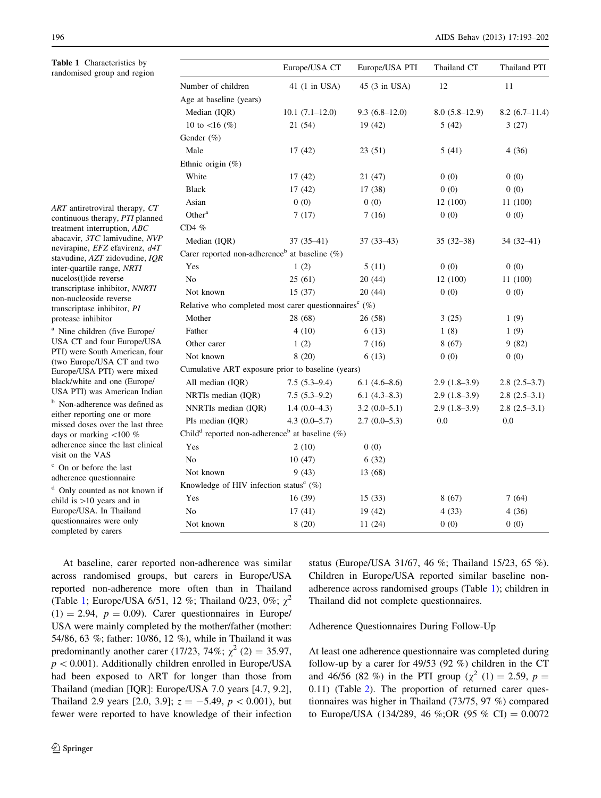<span id="page-3-0"></span>Table 1 Characteristics by randomised group and region

ART antiretroviral therapy, CT continuous therapy, PTI planned treatment interruption, ABC abacavir, 3TC lamivudine, NVP nevirapine, EFZ efavirenz, d4T stavudine, AZT zidovudine, IQR inter-quartile range, NRTI nucelos(t)ide reverse transcriptase inhibitor, NNRTI non-nucleoside reverse transcriptase inhibitor, PI protease inhibitor

<sup>a</sup> Nine children (five Europe/ USA CT and four Europe/USA PTI) were South American, four (two Europe/USA CT and two Europe/USA PTI) were mixed black/white and one (Europe/ USA PTI) was American Indian

**b** Non-adherence was defined as either reporting one or more missed doses over the last three days or marking  $\lt$ 100 % adherence since the last clinical visit on the VAS

<sup>c</sup> On or before the last adherence questionnaire

<sup>d</sup> Only counted as not known if child is  $>10$  years and in Europe/USA. In Thailand questionnaires were only completed by carers

Europe/USA CT Europe/USA PTI Thailand CT Thailand PTI Number of children 41 (1 in USA) 45 (3 in USA) 12 11 Age at baseline (years) Median (IOR) 10.1 (7.1–12.0) 9.3 (6.8–12.0) 8.0 (5.8–12.9) 8.2 (6.7–11.4) 10 to  $\langle 16 \, (%)$  21 (54) 19 (42) 5 (42) 3 (27) Gender (%) Male 17 (42) 23 (51) 5 (41) 4 (36) Ethnic origin (%) White  $17 (42)$   $21 (47)$   $0 (0)$   $0 (0)$ Black 17 (42) 17 (38) 0 (0) 0 (0) Asian 0 (0) 0 (0) 12 (100) 11 (100) Other<sup>a</sup>  $7 (17)$   $7 (16)$   $0 (0)$   $0 (0)$  $CD4%$ Median (IQR) 37 (35–41) 37 (33–43) 35 (32–38) 34 (32–41) Carer reported non-adherence<sup>b</sup> at baseline  $(\%)$ Yes  $1(2)$  5 (11)  $0(0)$  0 (0) No 25 (61) 20 (44) 12 (100) 11 (100) Not known 15 (37) 20 (44) 0 (0) 0 (0) Relative who completed most carer questionnaires<sup>c</sup> (%) Mother 28 (68) 26 (58) 3 (25) 1 (9) Father  $4 (10)$   $6 (13)$   $1 (8)$   $1 (9)$ Other carer 1 (2) 7 (16) 8 (67) 9 (82) Not known  $8 (20)$  6 (13) 0 (0) 0 (0) Cumulative ART exposure prior to baseline (years) All median (IQR) 7.5 (5.3–9.4) 6.1 (4.6–8.6) 2.9 (1.8–3.9) 2.8 (2.5–3.7) NRTIs median (IQR) 7.5 (5.3–9.2) 6.1 (4.3–8.3) 2.9 (1.8–3.9) 2.8 (2.5–3.1) NNRTIs median (IQR) 1.4 (0.0–4.3) 3.2 (0.0–5.1) 2.9 (1.8–3.9) 2.8 (2.5–3.1) PIs median (IOR) 4.3 (0.0–5.7) 2.7 (0.0–5.3) 0.0 0.0 0.0 Child<sup>d</sup> reported non-adherence<sup>b</sup> at baseline  $(\%)$ Yes  $2(10)$  0 (0) No  $10 (47)$  6 (32) Not known 9 (43) 13 (68) Knowledge of HIV infection status<sup>c</sup>  $(\%)$ 

Yes 16 (39) 15 (33) 8 (67) 7 (64) No 17 (41) 19 (42) 4 (33) 4 (36) Not known 8 (20) 11 (24) 0 (0) 0 (0)

At baseline, carer reported non-adherence was similar across randomised groups, but carers in Europe/USA reported non-adherence more often than in Thailand (Table 1; Europe/USA 6/51, 12 %; Thailand 0/23, 0%;  $\gamma^2$  $(1) = 2.94$ ,  $p = 0.09$ . Carer questionnaires in Europe/ USA were mainly completed by the mother/father (mother: 54/86, 63 %; father: 10/86, 12 %), while in Thailand it was predominantly another carer (17/23, 74%;  $\chi^2$  (2) = 35.97,  $p<0.001$ ). Additionally children enrolled in Europe/USA had been exposed to ART for longer than those from Thailand (median [IQR]: Europe/USA 7.0 years [4.7, 9.2], Thailand 2.9 years [2.0, 3.9];  $z = -5.49$ ,  $p < 0.001$ ), but fewer were reported to have knowledge of their infection status (Europe/USA 31/67, 46 %; Thailand 15/23, 65 %). Children in Europe/USA reported similar baseline nonadherence across randomised groups (Table 1); children in Thailand did not complete questionnaires.

#### Adherence Questionnaires During Follow-Up

At least one adherence questionnaire was completed during follow-up by a carer for 49/53 (92 %) children in the CT and 46/56 (82 %) in the PTI group ( $\chi^2$  (1) = 2.59, p = 0.11) (Table [2\)](#page-4-0). The proportion of returned carer questionnaires was higher in Thailand (73/75, 97 %) compared to Europe/USA (134/289, 46 %;OR (95 % CI) =  $0.0072$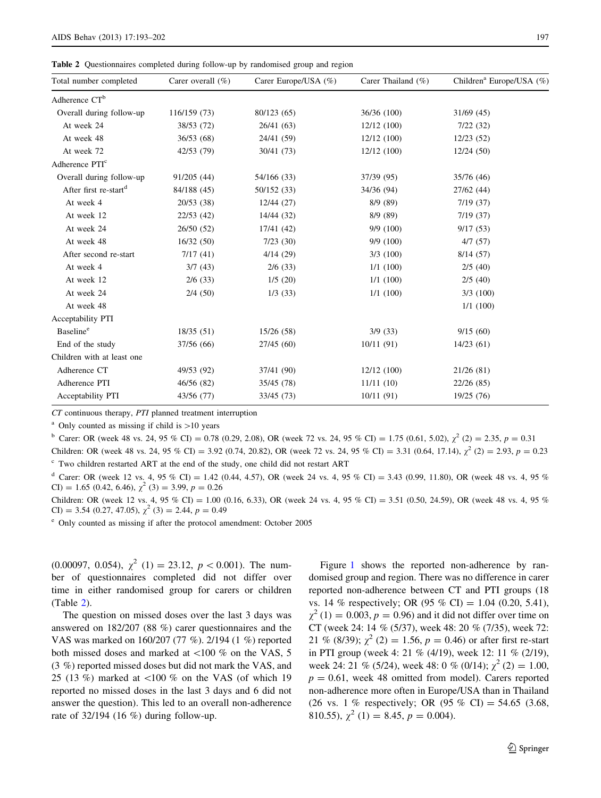<span id="page-4-0"></span>Table 2 Questionnaires completed during follow-up by randomised group and region

| Total number completed            | Carer overall $(\%)$ | Carer Europe/USA (%) | Carer Thailand $(\% )$ | Children <sup>a</sup> Europe/USA $(\%)$ |
|-----------------------------------|----------------------|----------------------|------------------------|-----------------------------------------|
| Adherence CT <sup>b</sup>         |                      |                      |                        |                                         |
| Overall during follow-up          | 116/159 (73)         | 80/123 (65)          | 36/36 (100)            | 31/69(45)                               |
| At week 24                        | 38/53 (72)           | 26/41 (63)           | 12/12(100)             | 7/22(32)                                |
| At week 48                        | 36/53(68)            | 24/41 (59)           | 12/12 (100)            | 12/23(52)                               |
| At week 72                        | 42/53 (79)           | 30/41 (73)           | 12/12(100)             | 12/24(50)                               |
| Adherence PTI <sup>c</sup>        |                      |                      |                        |                                         |
| Overall during follow-up          | 91/205 (44)          | 54/166 (33)          | 37/39 (95)             | 35/76 (46)                              |
| After first re-start <sup>d</sup> | 84/188 (45)          | 50/152 (33)          | 34/36 (94)             | 27/62 (44)                              |
| At week 4                         | 20/53(38)            | 12/44 (27)           | 8/9(89)                | 7/19(37)                                |
| At week 12                        | 22/53(42)            | 14/44 (32)           | 8/9(89)                | 7/19(37)                                |
| At week 24                        | 26/50(52)            | 17/41 (42)           | 9/9(100)               | 9/17(53)                                |
| At week 48                        | 16/32(50)            | 7/23(30)             | 9/9(100)               | 4/7(57)                                 |
| After second re-start             | 7/17(41)             | 4/14(29)             | $3/3$ (100)            | 8/14(57)                                |
| At week 4                         | 3/7(43)              | $2/6$ (33)           | 1/1(100)               | 2/5(40)                                 |
| At week 12                        | $2/6$ (33)           | 1/5(20)              | 1/1(100)               | 2/5(40)                                 |
| At week 24                        | 2/4(50)              | 1/3(33)              | 1/1(100)               | 3/3(100)                                |
| At week 48                        |                      |                      |                        | 1/1(100)                                |
| Acceptability PTI                 |                      |                      |                        |                                         |
| Baseline <sup>e</sup>             | 18/35(51)            | 15/26 (58)           | 3/9(33)                | 9/15(60)                                |
| End of the study                  | 37/56 (66)           | 27/45 (60)           | 10/11(91)              | 14/23(61)                               |
| Children with at least one        |                      |                      |                        |                                         |
| Adherence CT                      | 49/53 (92)           | 37/41 (90)           | 12/12(100)             | 21/26(81)                               |
| Adherence PTI                     | 46/56 (82)           | 35/45 (78)           | 11/11(10)              | 22/26(85)                               |
| Acceptability PTI                 | 43/56 (77)           | 33/45 (73)           | 10/11 (91)             | 19/25 (76)                              |

CT continuous therapy, PTI planned treatment interruption

<sup>a</sup> Only counted as missing if child is  $>10$  years

<sup>b</sup> Carer: OR (week 48 vs. 24, 95 % CI) = 0.78 (0.29, 2.08), OR (week 72 vs. 24, 95 % CI) = 1.75 (0.61, 5.02),  $\chi^2$  (2) = 2.35, p = 0.31

Children: OR (week 48 vs. 24, 95 % CI) = 3.92 (0.74, 20.82), OR (week 72 vs. 24, 95 % CI) = 3.31 (0.64, 17.14),  $\chi^2$  (2) = 2.93, p = 0.23 <sup>c</sup> Two children restarted ART at the end of the study, one child did not restart ART

<sup>d</sup> Carer: OR (week 12 vs. 4, 95 % CI) = 1.42 (0.44, 4.57), OR (week 24 vs. 4, 95 % CI) = 3.43 (0.99, 11.80), OR (week 48 vs. 4, 95 % CI) = 1.65 (0.42, 6.46),  $\chi^2$  (3) = 3.99, p = 0.26

Children: OR (week 12 vs. 4, 95 % CI) = 1.00 (0.16, 6.33), OR (week 24 vs. 4, 95 % CI) = 3.51 (0.50, 24.59), OR (week 48 vs. 4, 95 % CI) = 3.54 (0.27, 47.05),  $\chi^2$  (3) = 2.44, p = 0.49

<sup>e</sup> Only counted as missing if after the protocol amendment: October 2005

(0.00097, 0.054),  $\chi^2$  (1) = 23.12,  $p < 0.001$ ). The number of questionnaires completed did not differ over time in either randomised group for carers or children (Table 2).

The question on missed doses over the last 3 days was answered on 182/207 (88 %) carer questionnaires and the VAS was marked on 160/207 (77 %). 2/194 (1 %) reported both missed doses and marked at  $\langle 100 \% \rangle$  on the VAS, 5 (3 %) reported missed doses but did not mark the VAS, and 25 (13 %) marked at \100 % on the VAS (of which 19 reported no missed doses in the last 3 days and 6 did not answer the question). This led to an overall non-adherence rate of 32/194 (16 %) during follow-up.

Figure [1](#page-2-0) shows the reported non-adherence by randomised group and region. There was no difference in carer reported non-adherence between CT and PTI groups (18 vs. 14 % respectively; OR (95 % CI) = 1.04 (0.20, 5.41),  $\chi^2$  (1) = 0.003, p = 0.96) and it did not differ over time on CT (week 24: 14 % (5/37), week 48: 20 % (7/35), week 72: 21 % (8/39);  $\chi^2$  (2) = 1.56, p = 0.46) or after first re-start in PTI group (week 4: 21 % (4/19), week 12: 11 % (2/19), week 24: 21 % (5/24), week 48: 0 % (0/14);  $\chi^2$  (2) = 1.00,  $p = 0.61$ , week 48 omitted from model). Carers reported non-adherence more often in Europe/USA than in Thailand (26 vs. 1 % respectively; OR (95 % CI) = 54.65 (3.68, 810.55),  $\chi^2$  (1) = 8.45,  $p = 0.004$ ).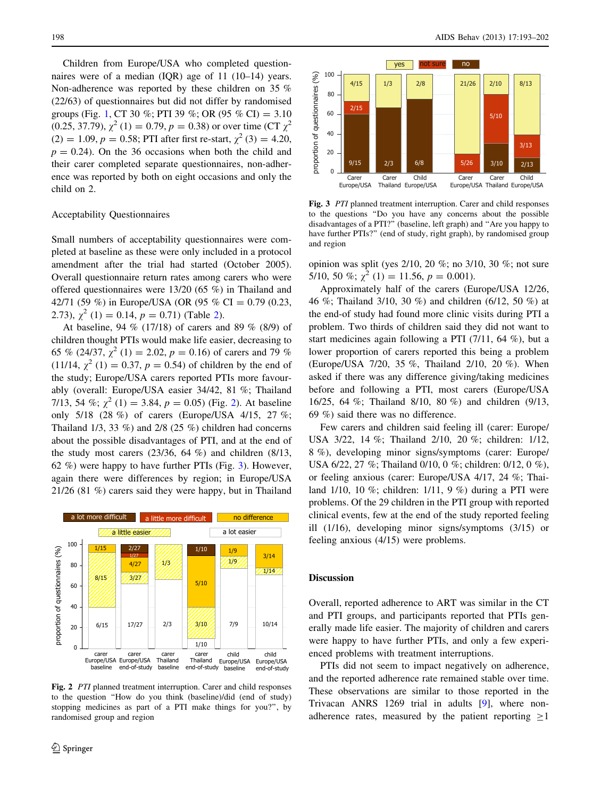Children from Europe/USA who completed questionnaires were of a median (IQR) age of 11 (10–14) years. Non-adherence was reported by these children on 35 % (22/63) of questionnaires but did not differ by randomised groups (Fig. [1](#page-2-0), CT 30 %; PTI 39 %; OR (95 % CI) = 3.10  $(0.25, 37.79), \chi^2(1) = 0.79, p = 0.38$  or over time (CT  $\chi^2$ )  $(2) = 1.09, p = 0.58$ ; PTI after first re-start,  $\chi^2(3) = 4.20$ ,  $p = 0.24$ ). On the 36 occasions when both the child and their carer completed separate questionnaires, non-adherence was reported by both on eight occasions and only the child on 2.

#### Acceptability Questionnaires

Small numbers of acceptability questionnaires were completed at baseline as these were only included in a protocol amendment after the trial had started (October 2005). Overall questionnaire return rates among carers who were offered questionnaires were 13/20 (65 %) in Thailand and 42/71 (59 %) in Europe/USA (OR (95 % CI = 0.79 (0.23, 2.73),  $\chi^2$  (1) = 0.14,  $p = 0.71$ ) (Table [2\)](#page-4-0).

At baseline, 94 % (17/18) of carers and 89 % (8/9) of children thought PTIs would make life easier, decreasing to 65 % (24/37,  $\gamma^2$  (1) = 2.02,  $p = 0.16$ ) of carers and 79 % (11/14,  $\chi^2$  (1) = 0.37, p = 0.54) of children by the end of the study; Europe/USA carers reported PTIs more favourably (overall: Europe/USA easier 34/42, 81 %; Thailand 7/13, 54 %;  $\chi^2$  (1) = 3.84,  $p = 0.05$ ) (Fig. 2). At baseline only 5/18 (28 %) of carers (Europe/USA 4/15, 27 %; Thailand 1/3, 33 %) and 2/8 (25 %) children had concerns about the possible disadvantages of PTI, and at the end of the study most carers (23/36, 64 %) and children (8/13, 62 %) were happy to have further PTIs (Fig. 3). However, again there were differences by region; in Europe/USA 21/26 (81 %) carers said they were happy, but in Thailand



Fig. 2 PTI planned treatment interruption. Carer and child responses to the question ''How do you think (baseline)/did (end of study) stopping medicines as part of a PTI make things for you?'', by randomised group and region



Fig. 3 PTI planned treatment interruption. Carer and child responses to the questions ''Do you have any concerns about the possible disadvantages of a PTI?'' (baseline, left graph) and ''Are you happy to have further PTIs?'' (end of study, right graph), by randomised group and region

opinion was split (yes 2/10, 20 %; no 3/10, 30 %; not sure 5/10, 50 %;  $\chi^2$  (1) = 11.56,  $p = 0.001$ ).

Approximately half of the carers (Europe/USA 12/26, 46 %; Thailand 3/10, 30 %) and children (6/12, 50 %) at the end-of study had found more clinic visits during PTI a problem. Two thirds of children said they did not want to start medicines again following a PTI (7/11, 64 %), but a lower proportion of carers reported this being a problem (Europe/USA 7/20, 35 %, Thailand 2/10, 20 %). When asked if there was any difference giving/taking medicines before and following a PTI, most carers (Europe/USA 16/25, 64 %; Thailand 8/10, 80 %) and children (9/13, 69 %) said there was no difference.

Few carers and children said feeling ill (carer: Europe/ USA 3/22, 14 %; Thailand 2/10, 20 %; children: 1/12, 8 %), developing minor signs/symptoms (carer: Europe/ USA 6/22, 27 %; Thailand 0/10, 0 %; children: 0/12, 0 %), or feeling anxious (carer: Europe/USA 4/17, 24 %; Thailand 1/10, 10 %; children: 1/11, 9 %) during a PTI were problems. Of the 29 children in the PTI group with reported clinical events, few at the end of the study reported feeling ill (1/16), developing minor signs/symptoms (3/15) or feeling anxious (4/15) were problems.

## Discussion

Overall, reported adherence to ART was similar in the CT and PTI groups, and participants reported that PTIs generally made life easier. The majority of children and carers were happy to have further PTIs, and only a few experienced problems with treatment interruptions.

PTIs did not seem to impact negatively on adherence, and the reported adherence rate remained stable over time. These observations are similar to those reported in the Trivacan ANRS 1269 trial in adults [[9\]](#page-8-0), where nonadherence rates, measured by the patient reporting  $\geq$ 1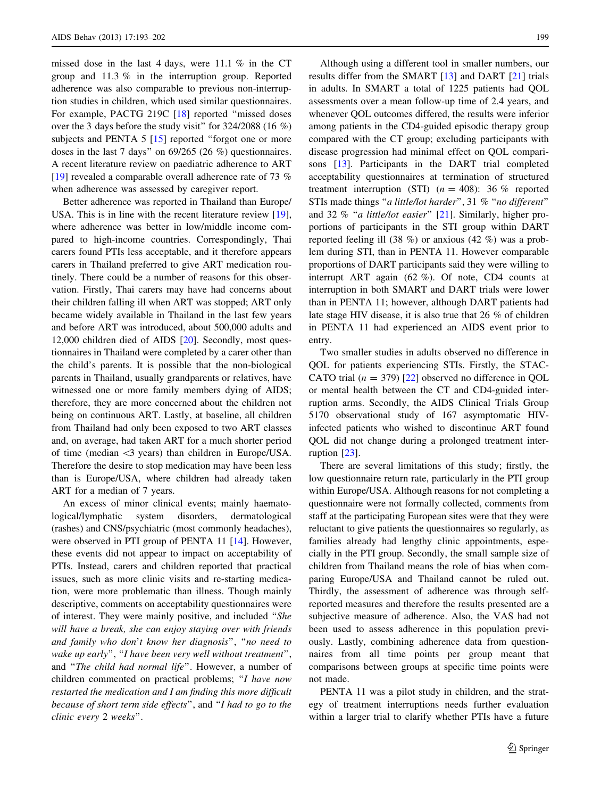missed dose in the last 4 days, were 11.1 % in the CT group and 11.3 % in the interruption group. Reported adherence was also comparable to previous non-interruption studies in children, which used similar questionnaires. For example, PACTG 219C [[18\]](#page-8-0) reported ''missed doses over the 3 days before the study visit'' for 324/2088 (16 %) subjects and PENTA 5 [[15\]](#page-8-0) reported "forgot one or more doses in the last 7 days'' on 69/265 (26 %) questionnaires. A recent literature review on paediatric adherence to ART [\[19](#page-8-0)] revealed a comparable overall adherence rate of 73 % when adherence was assessed by caregiver report.

Better adherence was reported in Thailand than Europe/ USA. This is in line with the recent literature review [\[19](#page-8-0)], where adherence was better in low/middle income compared to high-income countries. Correspondingly, Thai carers found PTIs less acceptable, and it therefore appears carers in Thailand preferred to give ART medication routinely. There could be a number of reasons for this observation. Firstly, Thai carers may have had concerns about their children falling ill when ART was stopped; ART only became widely available in Thailand in the last few years and before ART was introduced, about 500,000 adults and 12,000 children died of AIDS [[20\]](#page-8-0). Secondly, most questionnaires in Thailand were completed by a carer other than the child's parents. It is possible that the non-biological parents in Thailand, usually grandparents or relatives, have witnessed one or more family members dying of AIDS; therefore, they are more concerned about the children not being on continuous ART. Lastly, at baseline, all children from Thailand had only been exposed to two ART classes and, on average, had taken ART for a much shorter period of time (median  $\langle 3 \rangle$  years) than children in Europe/USA. Therefore the desire to stop medication may have been less than is Europe/USA, where children had already taken ART for a median of 7 years.

An excess of minor clinical events; mainly haematological/lymphatic system disorders, dermatological (rashes) and CNS/psychiatric (most commonly headaches), were observed in PTI group of PENTA 11 [\[14](#page-8-0)]. However, these events did not appear to impact on acceptability of PTIs. Instead, carers and children reported that practical issues, such as more clinic visits and re-starting medication, were more problematic than illness. Though mainly descriptive, comments on acceptability questionnaires were of interest. They were mainly positive, and included ''She will have a break, she can enjoy staying over with friends and family who don't know her diagnosis'', ''no need to wake up early", "I have been very well without treatment", and ''The child had normal life''. However, a number of children commented on practical problems; "I have now restarted the medication and I am finding this more difficult because of short term side effects'', and ''I had to go to the clinic every 2 weeks''.

Although using a different tool in smaller numbers, our results differ from the SMART [[13\]](#page-8-0) and DART [[21\]](#page-9-0) trials in adults. In SMART a total of 1225 patients had QOL assessments over a mean follow-up time of 2.4 years, and whenever QOL outcomes differed, the results were inferior among patients in the CD4-guided episodic therapy group compared with the CT group; excluding participants with disease progression had minimal effect on QOL comparisons [\[13](#page-8-0)]. Participants in the DART trial completed acceptability questionnaires at termination of structured treatment interruption (STI)  $(n = 408)$ : 36 % reported STIs made things ''a little/lot harder'', 31 % ''no different'' and 32 % "a little/lot easier" [[21\]](#page-9-0). Similarly, higher proportions of participants in the STI group within DART reported feeling ill (38 %) or anxious (42 %) was a problem during STI, than in PENTA 11. However comparable proportions of DART participants said they were willing to interrupt ART again (62 %). Of note, CD4 counts at interruption in both SMART and DART trials were lower than in PENTA 11; however, although DART patients had late stage HIV disease, it is also true that 26 % of children in PENTA 11 had experienced an AIDS event prior to entry.

Two smaller studies in adults observed no difference in QOL for patients experiencing STIs. Firstly, the STAC-CATO trial  $(n = 379)$  [\[22](#page-9-0)] observed no difference in QOL or mental health between the CT and CD4-guided interruption arms. Secondly, the AIDS Clinical Trials Group 5170 observational study of 167 asymptomatic HIVinfected patients who wished to discontinue ART found QOL did not change during a prolonged treatment interruption [[23\]](#page-9-0).

There are several limitations of this study; firstly, the low questionnaire return rate, particularly in the PTI group within Europe/USA. Although reasons for not completing a questionnaire were not formally collected, comments from staff at the participating European sites were that they were reluctant to give patients the questionnaires so regularly, as families already had lengthy clinic appointments, especially in the PTI group. Secondly, the small sample size of children from Thailand means the role of bias when comparing Europe/USA and Thailand cannot be ruled out. Thirdly, the assessment of adherence was through selfreported measures and therefore the results presented are a subjective measure of adherence. Also, the VAS had not been used to assess adherence in this population previously. Lastly, combining adherence data from questionnaires from all time points per group meant that comparisons between groups at specific time points were not made.

PENTA 11 was a pilot study in children, and the strategy of treatment interruptions needs further evaluation within a larger trial to clarify whether PTIs have a future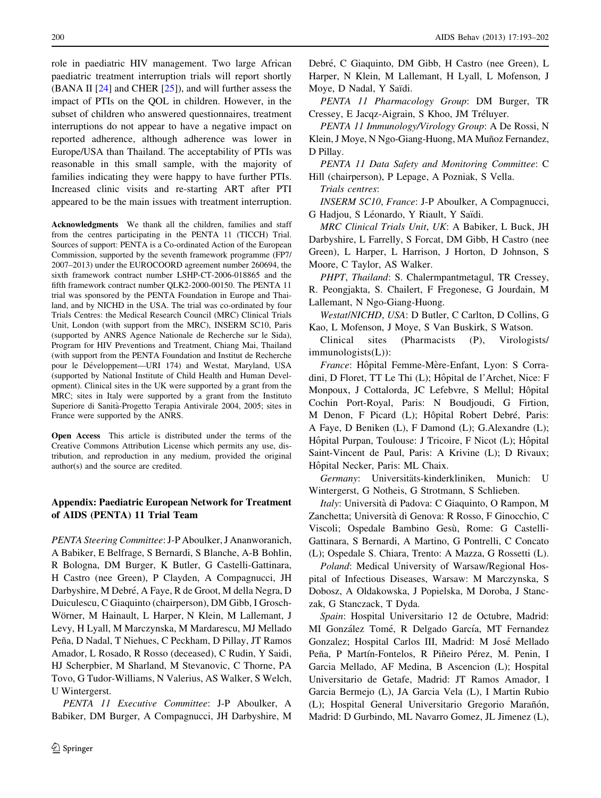role in paediatric HIV management. Two large African paediatric treatment interruption trials will report shortly (BANA II  $[24]$  $[24]$  and CHER  $[25]$  $[25]$ ), and will further assess the impact of PTIs on the QOL in children. However, in the subset of children who answered questionnaires, treatment interruptions do not appear to have a negative impact on reported adherence, although adherence was lower in Europe/USA than Thailand. The acceptability of PTIs was reasonable in this small sample, with the majority of families indicating they were happy to have further PTIs. Increased clinic visits and re-starting ART after PTI appeared to be the main issues with treatment interruption.

Acknowledgments We thank all the children, families and staff from the centres participating in the PENTA 11 (TICCH) Trial. Sources of support: PENTA is a Co-ordinated Action of the European Commission, supported by the seventh framework programme (FP7/ 2007–2013) under the EUROCOORD agreement number 260694, the sixth framework contract number LSHP-CT-2006-018865 and the fifth framework contract number QLK2-2000-00150. The PENTA 11 trial was sponsored by the PENTA Foundation in Europe and Thailand, and by NICHD in the USA. The trial was co-ordinated by four Trials Centres: the Medical Research Council (MRC) Clinical Trials Unit, London (with support from the MRC), INSERM SC10, Paris (supported by ANRS Agence Nationale de Recherche sur le Sida), Program for HIV Preventions and Treatment, Chiang Mai, Thailand (with support from the PENTA Foundation and Institut de Recherche pour le Développement—URI 174) and Westat, Maryland, USA (supported by National Institute of Child Health and Human Development). Clinical sites in the UK were supported by a grant from the MRC; sites in Italy were supported by a grant from the Instituto Superiore di Sanita`-Progetto Terapia Antivirale 2004, 2005; sites in France were supported by the ANRS.

Open Access This article is distributed under the terms of the Creative Commons Attribution License which permits any use, distribution, and reproduction in any medium, provided the original author(s) and the source are credited.

## Appendix: Paediatric European Network for Treatment of AIDS (PENTA) 11 Trial Team

PENTA Steering Committee: J-P Aboulker, J Ananworanich, A Babiker, E Belfrage, S Bernardi, S Blanche, A-B Bohlin, R Bologna, DM Burger, K Butler, G Castelli-Gattinara, H Castro (nee Green), P Clayden, A Compagnucci, JH Darbyshire, M Debré, A Faye, R de Groot, M della Negra, D Duiculescu, C Giaquinto (chairperson), DM Gibb, I Grosch-Wörner, M Hainault, L Harper, N Klein, M Lallemant, J Levy, H Lyall, M Marczynska, M Mardarescu, MJ Mellado Peña, D Nadal, T Niehues, C Peckham, D Pillay, JT Ramos Amador, L Rosado, R Rosso (deceased), C Rudin, Y Saidi, HJ Scherpbier, M Sharland, M Stevanovic, C Thorne, PA Tovo, G Tudor-Williams, N Valerius, AS Walker, S Welch, U Wintergerst.

PENTA 11 Executive Committee: J-P Aboulker, A Babiker, DM Burger, A Compagnucci, JH Darbyshire, M Debré, C Giaquinto, DM Gibb, H Castro (nee Green), L Harper, N Klein, M Lallemant, H Lyall, L Mofenson, J Moye, D Nadal, Y Saïdi.

PENTA 11 Pharmacology Group: DM Burger, TR Cressey, E Jacqz-Aigrain, S Khoo, JM Tréluyer.

PENTA 11 Immunology/Virology Group: A De Rossi, N Klein, J Moye, N Ngo-Giang-Huong, MA Muñoz Fernandez, D Pillay.

PENTA 11 Data Safety and Monitoring Committee: C Hill (chairperson), P Lepage, A Pozniak, S Vella.

Trials centres:

INSERM SC10, France: J-P Aboulker, A Compagnucci, G Hadjou, S Léonardo, Y Riault, Y Saïdi.

MRC Clinical Trials Unit, UK: A Babiker, L Buck, JH Darbyshire, L Farrelly, S Forcat, DM Gibb, H Castro (nee Green), L Harper, L Harrison, J Horton, D Johnson, S Moore, C Taylor, AS Walker.

PHPT, Thailand: S. Chalermpantmetagul, TR Cressey, R. Peongjakta, S. Chailert, F Fregonese, G Jourdain, M Lallemant, N Ngo-Giang-Huong.

Westat/NICHD, USA: D Butler, C Carlton, D Collins, G Kao, L Mofenson, J Moye, S Van Buskirk, S Watson.

Clinical sites (Pharmacists (P), Virologists/ immunologists(L)):

France: Hôpital Femme-Mère-Enfant, Lyon: S Corradini, D Floret, TT Le Thi (L); Hôpital de l'Archet, Nice: F Monpoux, J Cottalorda, JC Lefebvre, S Mellul; Hôpital Cochin Port-Royal, Paris: N Boudjoudi, G Firtion, M Denon, F Picard (L); Hôpital Robert Debré, Paris: A Faye, D Beniken (L), F Damond (L); G.Alexandre (L); Hôpital Purpan, Toulouse: J Tricoire, F Nicot (L); Hôpital Saint-Vincent de Paul, Paris: A Krivine (L); D Rivaux; Hôpital Necker, Paris: ML Chaix.

Germany: Universitäts-kinderkliniken, Munich: U Wintergerst, G Notheis, G Strotmann, S Schlieben.

Italy: Università di Padova: C Giaquinto, O Rampon, M Zanchetta; Universita` di Genova: R Rosso, F Ginocchio, C Viscoli; Ospedale Bambino Gesù, Rome: G Castelli-Gattinara, S Bernardi, A Martino, G Pontrelli, C Concato (L); Ospedale S. Chiara, Trento: A Mazza, G Rossetti (L).

Poland: Medical University of Warsaw/Regional Hospital of Infectious Diseases, Warsaw: M Marczynska, S Dobosz, A Oldakowska, J Popielska, M Doroba, J Stanczak, G Stanczack, T Dyda.

Spain: Hospital Universitario 12 de Octubre, Madrid: MI González Tomé, R Delgado García, MT Fernandez Gonzalez; Hospital Carlos III, Madrid: M Jose´ Mellado Peña, P Martín-Fontelos, R Piñeiro Pérez, M. Penin, I Garcia Mellado, AF Medina, B Ascencion (L); Hospital Universitario de Getafe, Madrid: JT Ramos Amador, I Garcia Bermejo (L), JA Garcia Vela (L), I Martin Rubio (L); Hospital General Universitario Gregorio Marañón, Madrid: D Gurbindo, ML Navarro Gomez, JL Jimenez (L),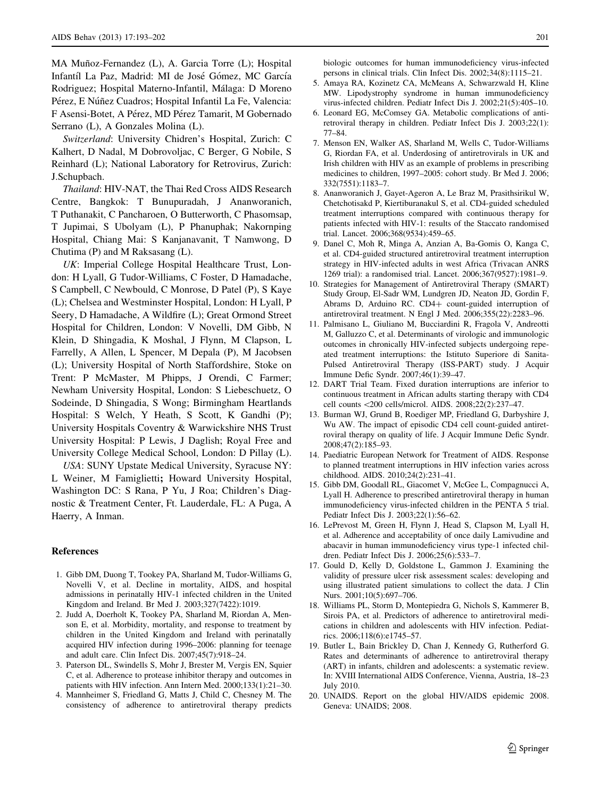<span id="page-8-0"></span>MA Muñoz-Fernandez (L), A. Garcia Torre (L): Hospital Infantíl La Paz, Madrid: MI de José Gómez, MC García Rodriguez; Hospital Materno-Infantil, Málaga: D Moreno Pérez, E Núñez Cuadros; Hospital Infantil La Fe, Valencia: F Asensi-Botet, A Pérez, MD Pérez Tamarit, M Gobernado Serrano (L), A Gonzales Molina (L).

Switzerland: University Chidren's Hospital, Zurich: C Kalhert, D Nadal, M Dobrovoljac, C Berger, G Nobile, S Reinhard (L); National Laboratory for Retrovirus, Zurich: J.Schupbach.

Thailand: HIV-NAT, the Thai Red Cross AIDS Research Centre, Bangkok: T Bunupuradah, J Ananworanich, T Puthanakit, C Pancharoen, O Butterworth, C Phasomsap, T Jupimai, S Ubolyam (L), P Phanuphak; Nakornping Hospital, Chiang Mai: S Kanjanavanit, T Namwong, D Chutima (P) and M Raksasang (L).

UK: Imperial College Hospital Healthcare Trust, London: H Lyall, G Tudor-Williams, C Foster, D Hamadache, S Campbell, C Newbould, C Monrose, D Patel (P), S Kaye (L); Chelsea and Westminster Hospital, London: H Lyall, P Seery, D Hamadache, A Wildfire (L); Great Ormond Street Hospital for Children, London: V Novelli, DM Gibb, N Klein, D Shingadia, K Moshal, J Flynn, M Clapson, L Farrelly, A Allen, L Spencer, M Depala (P), M Jacobsen (L); University Hospital of North Staffordshire, Stoke on Trent: P McMaster, M Phipps, J Orendi, C Farmer; Newham University Hospital, London: S Liebeschuetz, O Sodeinde, D Shingadia, S Wong; Birmingham Heartlands Hospital: S Welch, Y Heath, S Scott, K Gandhi (P); University Hospitals Coventry & Warwickshire NHS Trust University Hospital: P Lewis, J Daglish; Royal Free and University College Medical School, London: D Pillay (L).

USA: SUNY Upstate Medical University, Syracuse NY: L Weiner, M Famiglietti; Howard University Hospital, Washington DC: S Rana, P Yu, J Roa; Children's Diagnostic & Treatment Center, Ft. Lauderdale, FL: A Puga, A Haerry, A Inman.

#### References

- 1. Gibb DM, Duong T, Tookey PA, Sharland M, Tudor-Williams G, Novelli V, et al. Decline in mortality, AIDS, and hospital admissions in perinatally HIV-1 infected children in the United Kingdom and Ireland. Br Med J. 2003;327(7422):1019.
- 2. Judd A, Doerholt K, Tookey PA, Sharland M, Riordan A, Menson E, et al. Morbidity, mortality, and response to treatment by children in the United Kingdom and Ireland with perinatally acquired HIV infection during 1996–2006: planning for teenage and adult care. Clin Infect Dis. 2007;45(7):918–24.
- 3. Paterson DL, Swindells S, Mohr J, Brester M, Vergis EN, Squier C, et al. Adherence to protease inhibitor therapy and outcomes in patients with HIV infection. Ann Intern Med. 2000;133(1):21–30.
- 4. Mannheimer S, Friedland G, Matts J, Child C, Chesney M. The consistency of adherence to antiretroviral therapy predicts

biologic outcomes for human immunodeficiency virus-infected persons in clinical trials. Clin Infect Dis. 2002;34(8):1115–21.

- 5. Amaya RA, Kozinetz CA, McMeans A, Schwarzwald H, Kline MW. Lipodystrophy syndrome in human immunodeficiency virus-infected children. Pediatr Infect Dis J. 2002;21(5):405–10.
- 6. Leonard EG, McComsey GA. Metabolic complications of antiretroviral therapy in children. Pediatr Infect Dis J. 2003;22(1): 77–84.
- 7. Menson EN, Walker AS, Sharland M, Wells C, Tudor-Williams G, Riordan FA, et al. Underdosing of antiretrovirals in UK and Irish children with HIV as an example of problems in prescribing medicines to children, 1997–2005: cohort study. Br Med J. 2006; 332(7551):1183–7.
- 8. Ananworanich J, Gayet-Ageron A, Le Braz M, Prasithsirikul W, Chetchotisakd P, Kiertiburanakul S, et al. CD4-guided scheduled treatment interruptions compared with continuous therapy for patients infected with HIV-1: results of the Staccato randomised trial. Lancet. 2006;368(9534):459–65.
- 9. Danel C, Moh R, Minga A, Anzian A, Ba-Gomis O, Kanga C, et al. CD4-guided structured antiretroviral treatment interruption strategy in HIV-infected adults in west Africa (Trivacan ANRS 1269 trial): a randomised trial. Lancet. 2006;367(9527):1981–9.
- 10. Strategies for Management of Antiretroviral Therapy (SMART) Study Group, El-Sadr WM, Lundgren JD, Neaton JD, Gordin F, Abrams D, Arduino RC. CD4+ count-guided interruption of antiretroviral treatment. N Engl J Med. 2006;355(22):2283–96.
- 11. Palmisano L, Giuliano M, Bucciardini R, Fragola V, Andreotti M, Galluzzo C, et al. Determinants of virologic and immunologic outcomes in chronically HIV-infected subjects undergoing repeated treatment interruptions: the Istituto Superiore di Sanita-Pulsed Antiretroviral Therapy (ISS-PART) study. J Acquir Immune Defic Syndr. 2007;46(1):39–47.
- 12. DART Trial Team. Fixed duration interruptions are inferior to continuous treatment in African adults starting therapy with CD4 cell counts\200 cells/microl. AIDS. 2008;22(2):237–47.
- 13. Burman WJ, Grund B, Roediger MP, Friedland G, Darbyshire J, Wu AW. The impact of episodic CD4 cell count-guided antiretroviral therapy on quality of life. J Acquir Immune Defic Syndr. 2008;47(2):185–93.
- 14. Paediatric European Network for Treatment of AIDS. Response to planned treatment interruptions in HIV infection varies across childhood. AIDS. 2010;24(2):231–41.
- 15. Gibb DM, Goodall RL, Giacomet V, McGee L, Compagnucci A, Lyall H. Adherence to prescribed antiretroviral therapy in human immunodeficiency virus-infected children in the PENTA 5 trial. Pediatr Infect Dis J. 2003;22(1):56–62.
- 16. LePrevost M, Green H, Flynn J, Head S, Clapson M, Lyall H, et al. Adherence and acceptability of once daily Lamivudine and abacavir in human immunodeficiency virus type-1 infected children. Pediatr Infect Dis J. 2006;25(6):533–7.
- 17. Gould D, Kelly D, Goldstone L, Gammon J. Examining the validity of pressure ulcer risk assessment scales: developing and using illustrated patient simulations to collect the data. J Clin Nurs. 2001;10(5):697–706.
- 18. Williams PL, Storm D, Montepiedra G, Nichols S, Kammerer B, Sirois PA, et al. Predictors of adherence to antiretroviral medications in children and adolescents with HIV infection. Pediatrics. 2006;118(6):e1745–57.
- 19. Butler L, Bain Brickley D, Chan J, Kennedy G, Rutherford G. Rates and determinants of adherence to antiretroviral therapy (ART) in infants, children and adolescents: a systematic review. In: XVIII International AIDS Conference, Vienna, Austria, 18–23 July 2010.
- 20. UNAIDS. Report on the global HIV/AIDS epidemic 2008. Geneva: UNAIDS; 2008.